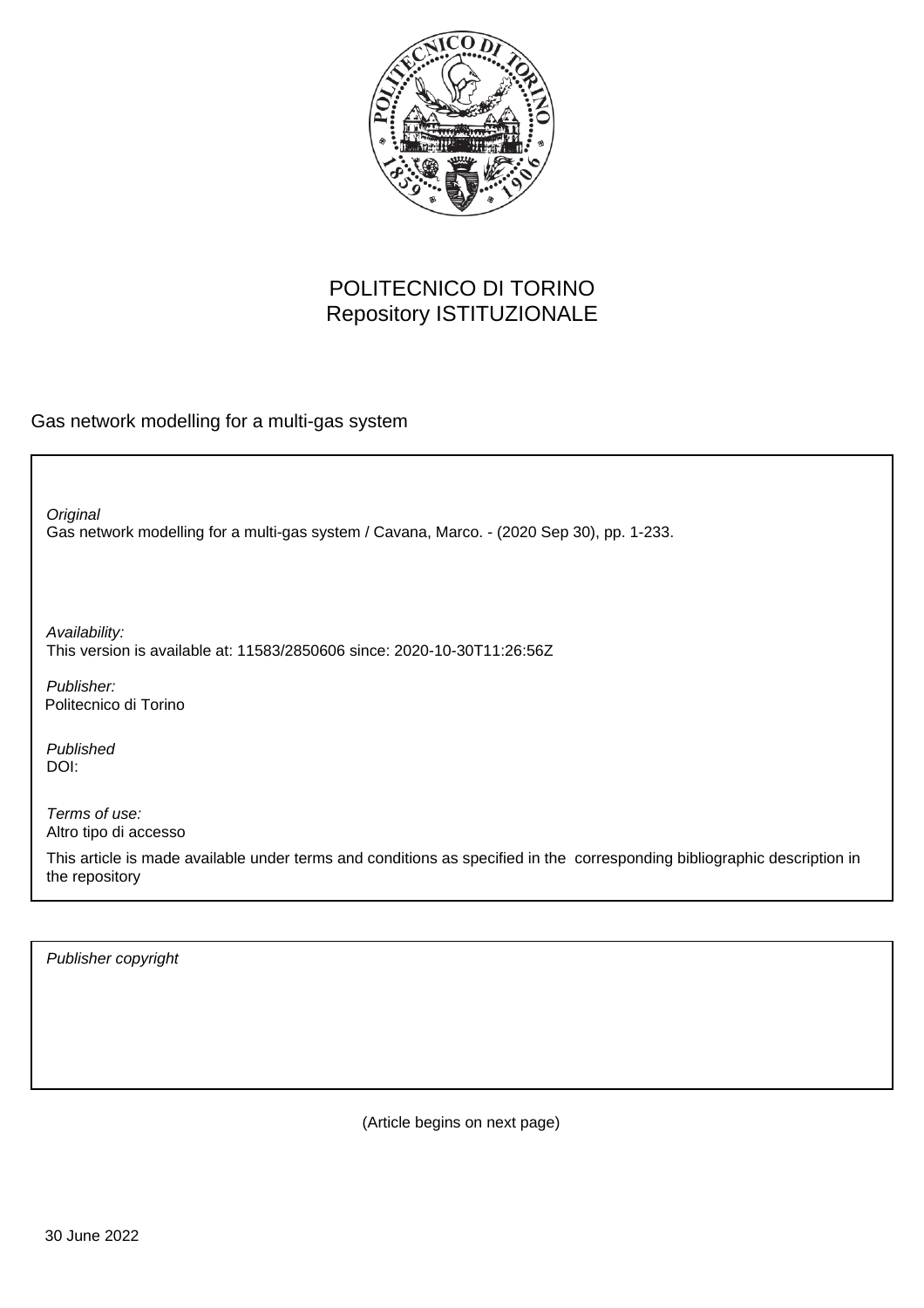

## POLITECNICO DI TORINO Repository ISTITUZIONALE

Gas network modelling for a multi-gas system

Gas network modelling for a multi-gas system / Cavana, Marco. - (2020 Sep 30), pp. 1-233. **Original** 

Availability: This version is available at: 11583/2850606 since: 2020-10-30T11:26:56Z

Publisher: Politecnico di Torino

Published DOI:

Terms of use: Altro tipo di accesso

This article is made available under terms and conditions as specified in the corresponding bibliographic description in the repository

Publisher copyright

(Article begins on next page)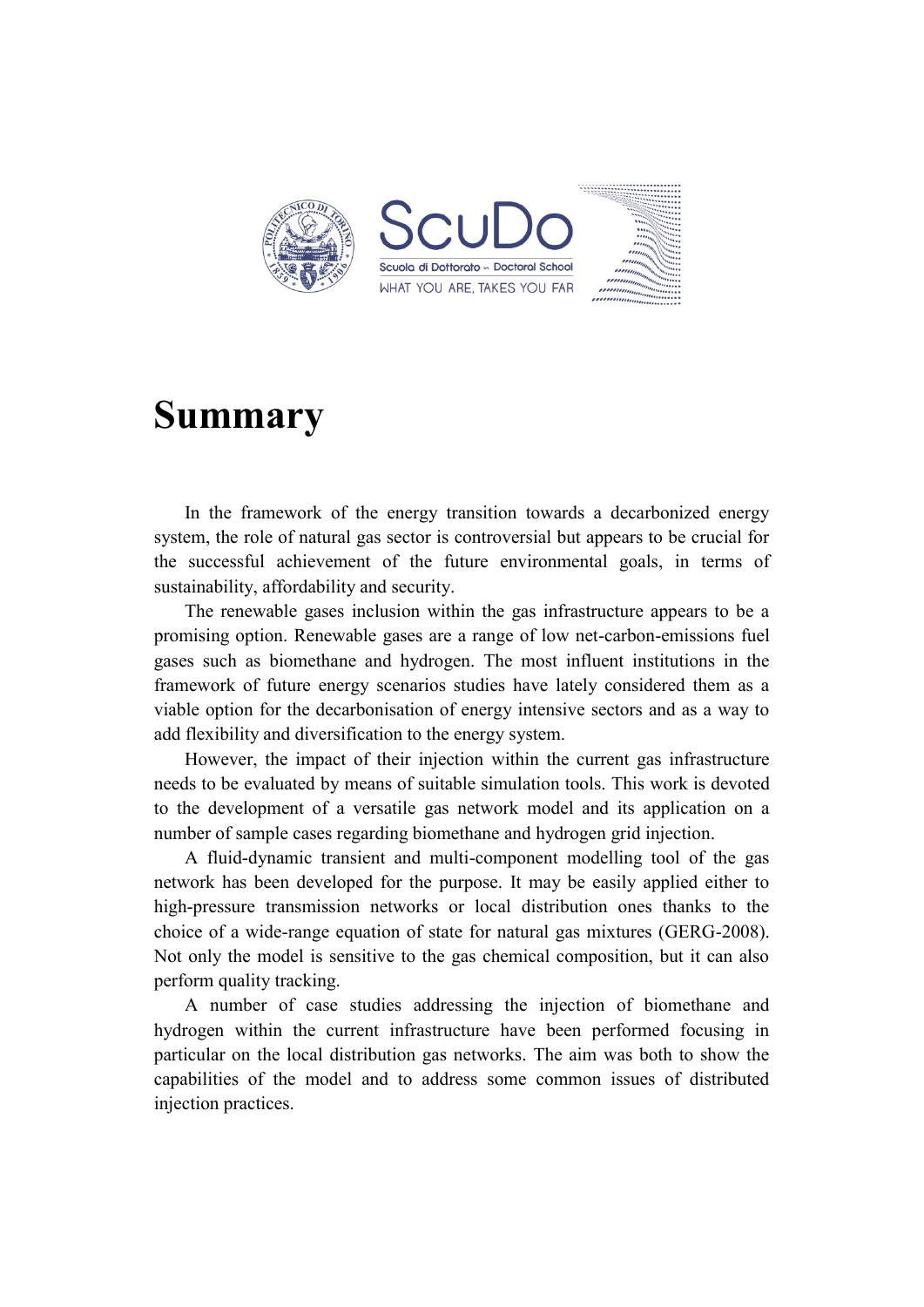

## **Summary**

In the framework of the energy transition towards a decarbonized energy system, the role of natural gas sector is controversial but appears to be crucial for the successful achievement of the future environmental goals, in terms of sustainability, affordability and security.

The renewable gases inclusion within the gas infrastructure appears to be a promising option. Renewable gases are a range of low net-carbon-emissions fuel gases such as biomethane and hydrogen. The most influent institutions in the framework of future energy scenarios studies have lately considered them as a viable option for the decarbonisation of energy intensive sectors and as a way to add flexibility and diversification to the energy system.

However, the impact of their injection within the current gas infrastructure needs to be evaluated by means of suitable simulation tools. This work is devoted to the development of a versatile gas network model and its application on a number of sample cases regarding biomethane and hydrogen grid injection.

A fluid-dynamic transient and multi-component modelling tool of the gas network has been developed for the purpose. It may be easily applied either to high-pressure transmission networks or local distribution ones thanks to the choice of a wide-range equation of state for natural gas mixtures (GERG-2008). Not only the model is sensitive to the gas chemical composition, but it can also perform quality tracking.

A number of case studies addressing the injection of biomethane and hydrogen within the current infrastructure have been performed focusing in particular on the local distribution gas networks. The aim was both to show the capabilities of the model and to address some common issues of distributed injection practices.